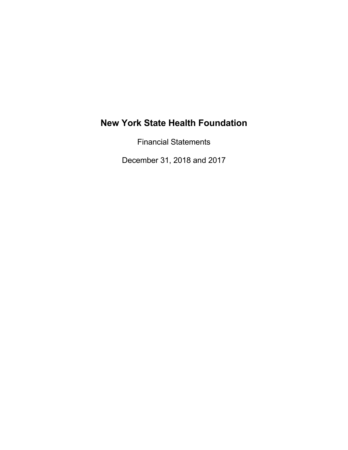Financial Statements

December 31, 2018 and 2017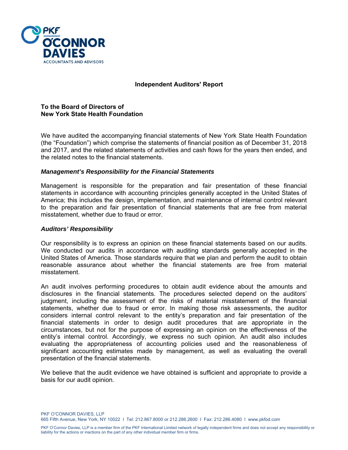

# **Independent Auditors' Report**

# **To the Board of Directors of New York State Health Foundation**

We have audited the accompanying financial statements of New York State Health Foundation (the "Foundation") which comprise the statements of financial position as of December 31, 2018 and 2017, and the related statements of activities and cash flows for the years then ended, and the related notes to the financial statements.

#### *Management's Responsibility for the Financial Statements*

Management is responsible for the preparation and fair presentation of these financial statements in accordance with accounting principles generally accepted in the United States of America; this includes the design, implementation, and maintenance of internal control relevant to the preparation and fair presentation of financial statements that are free from material misstatement, whether due to fraud or error.

#### *Auditors' Responsibility*

Our responsibility is to express an opinion on these financial statements based on our audits. We conducted our audits in accordance with auditing standards generally accepted in the United States of America. Those standards require that we plan and perform the audit to obtain reasonable assurance about whether the financial statements are free from material misstatement.

An audit involves performing procedures to obtain audit evidence about the amounts and disclosures in the financial statements. The procedures selected depend on the auditors' judgment, including the assessment of the risks of material misstatement of the financial statements, whether due to fraud or error. In making those risk assessments, the auditor considers internal control relevant to the entity's preparation and fair presentation of the financial statements in order to design audit procedures that are appropriate in the circumstances, but not for the purpose of expressing an opinion on the effectiveness of the entity's internal control. Accordingly, we express no such opinion. An audit also includes evaluating the appropriateness of accounting policies used and the reasonableness of significant accounting estimates made by management, as well as evaluating the overall presentation of the financial statements.

We believe that the audit evidence we have obtained is sufficient and appropriate to provide a basis for our audit opinion.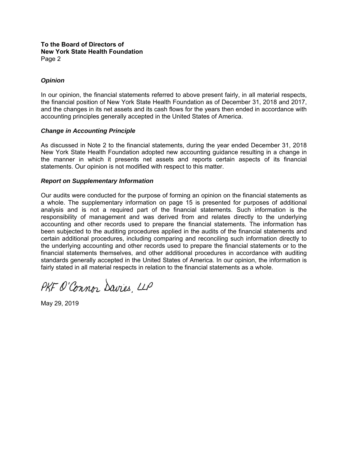#### **To the Board of Directors of New York State Health Foundation**  Page 2

# *Opinion*

In our opinion, the financial statements referred to above present fairly, in all material respects, the financial position of New York State Health Foundation as of December 31, 2018 and 2017, and the changes in its net assets and its cash flows for the years then ended in accordance with accounting principles generally accepted in the United States of America.

#### *Change in Accounting Principle*

As discussed in Note 2 to the financial statements, during the year ended December 31, 2018 New York State Health Foundation adopted new accounting guidance resulting in a change in the manner in which it presents net assets and reports certain aspects of its financial statements. Our opinion is not modified with respect to this matter.

# *Report on Supplementary Information*

Our audits were conducted for the purpose of forming an opinion on the financial statements as a whole. The supplementary information on page 15 is presented for purposes of additional analysis and is not a required part of the financial statements. Such information is the responsibility of management and was derived from and relates directly to the underlying accounting and other records used to prepare the financial statements. The information has been subjected to the auditing procedures applied in the audits of the financial statements and certain additional procedures, including comparing and reconciling such information directly to the underlying accounting and other records used to prepare the financial statements or to the financial statements themselves, and other additional procedures in accordance with auditing standards generally accepted in the United States of America. In our opinion, the information is fairly stated in all material respects in relation to the financial statements as a whole.

PKF O'Connor Davies LLP

May 29, 2019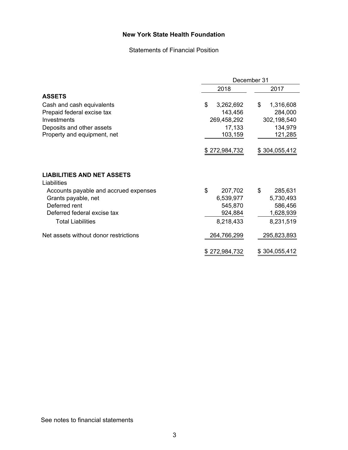Statements of Financial Position

|                                                  | December 31     |                 |  |  |
|--------------------------------------------------|-----------------|-----------------|--|--|
|                                                  | 2018            | 2017            |  |  |
| <b>ASSETS</b>                                    |                 |                 |  |  |
| Cash and cash equivalents                        | \$<br>3,262,692 | \$<br>1,316,608 |  |  |
| Prepaid federal excise tax                       | 143,456         | 284,000         |  |  |
| Investments                                      | 269,458,292     | 302,198,540     |  |  |
| Deposits and other assets                        | 17,133          | 134,979         |  |  |
| Property and equipment, net                      | 103,159         | 121,285         |  |  |
|                                                  | \$272,984,732   | \$304,055,412   |  |  |
| <b>LIABILITIES AND NET ASSETS</b><br>Liabilities |                 |                 |  |  |
| Accounts payable and accrued expenses            | \$<br>207,702   | \$<br>285,631   |  |  |
| Grants payable, net                              | 6,539,977       | 5,730,493       |  |  |
| Deferred rent                                    | 545,870         | 586,456         |  |  |
| Deferred federal excise tax                      | 924,884         | 1,628,939       |  |  |
| <b>Total Liabilities</b>                         | 8,218,433       | 8,231,519       |  |  |
| Net assets without donor restrictions            | 264,766,299     | 295,823,893     |  |  |
|                                                  | \$272,984,732   | \$304,055,412   |  |  |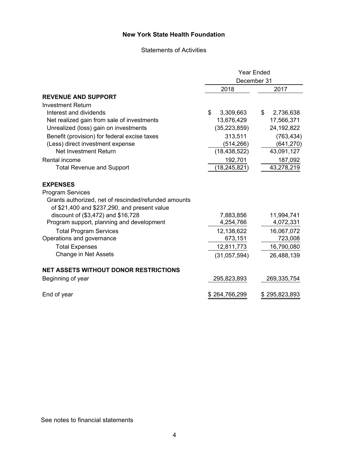#### Statements of Activities

|                                                      | <b>Year Ended</b> |                 |  |
|------------------------------------------------------|-------------------|-----------------|--|
|                                                      | December 31       |                 |  |
|                                                      | 2018              | 2017            |  |
| <b>REVENUE AND SUPPORT</b>                           |                   |                 |  |
| Investment Return                                    |                   |                 |  |
| Interest and dividends                               | \$<br>3,309,663   | \$<br>2,736,638 |  |
| Net realized gain from sale of investments           | 13,676,429        | 17,566,371      |  |
| Unrealized (loss) gain on investments                | (35, 223, 859)    | 24, 192, 822    |  |
| Benefit (provision) for federal excise taxes         | 313,511           | (763, 434)      |  |
| (Less) direct investment expense                     | (514, 266)        | (641, 270)      |  |
| Net Investment Return                                | (18, 438, 522)    | 43,091,127      |  |
| Rental income                                        | 192,701           | 187,092         |  |
| <b>Total Revenue and Support</b>                     | (18,245,821)      | 43,278,219      |  |
| <b>EXPENSES</b>                                      |                   |                 |  |
| <b>Program Services</b>                              |                   |                 |  |
| Grants authorized, net of rescinded/refunded amounts |                   |                 |  |
| of \$21,400 and \$237,290, and present value         |                   |                 |  |
| discount of (\$3,472) and \$16,728                   | 7,883,856         | 11,994,741      |  |
| Program support, planning and development            | 4,254,766         | 4,072,331       |  |
| <b>Total Program Services</b>                        | 12,138,622        | 16,067,072      |  |
| Operations and governance                            | 673,151           | 723,008         |  |
| <b>Total Expenses</b>                                | 12,811,773        | 16,790,080      |  |
| Change in Net Assets                                 | (31, 057, 594)    | 26,488,139      |  |
| <b>NET ASSETS WITHOUT DONOR RESTRICTIONS</b>         |                   |                 |  |
| Beginning of year                                    | 295,823,893       | 269,335,754     |  |
| End of year                                          | \$264,766,299     | \$295,823,893   |  |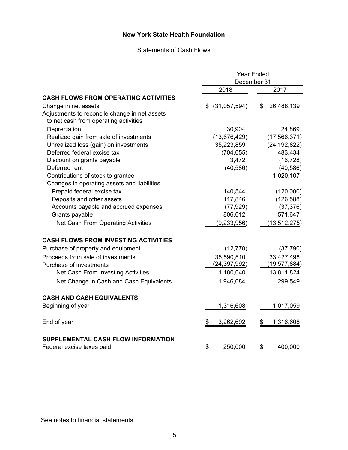#### Statements of Cash Flows

|                                               | <b>Year Ended</b> |                       |  |
|-----------------------------------------------|-------------------|-----------------------|--|
|                                               | December 31       |                       |  |
|                                               | 2018              | 2017                  |  |
| <b>CASH FLOWS FROM OPERATING ACTIVITIES</b>   |                   |                       |  |
| Change in net assets                          | $$$ (31,057,594)  | 26,488,139<br>\$      |  |
| Adjustments to reconcile change in net assets |                   |                       |  |
| to net cash from operating activities         |                   |                       |  |
| Depreciation                                  | 30,904            | 24,869                |  |
| Realized gain from sale of investments        | (13,676,429)      | (17, 566, 371)        |  |
| Unrealized loss (gain) on investments         | 35,223,859        | (24, 192, 822)        |  |
| Deferred federal excise tax                   | (704, 055)        | 483,434               |  |
| Discount on grants payable                    | 3,472             | (16, 728)             |  |
| Deferred rent                                 | (40, 586)         | (40, 586)             |  |
| Contributions of stock to grantee             |                   | 1,020,107             |  |
| Changes in operating assets and liabilities   |                   |                       |  |
| Prepaid federal excise tax                    | 140,544           | (120,000)             |  |
| Deposits and other assets                     | 117,846           | (126, 588)            |  |
| Accounts payable and accrued expenses         | (77, 929)         | (37, 376)             |  |
| Grants payable                                | 806,012           | 571,647               |  |
| Net Cash From Operating Activities            | (9, 233, 956)     | (13, 512, 275)        |  |
| <b>CASH FLOWS FROM INVESTING ACTIVITIES</b>   |                   |                       |  |
| Purchase of property and equipment            | (12, 778)         | (37, 790)             |  |
| Proceeds from sale of investments             | 35,590,810        | 33,427,498            |  |
| Purchase of investments                       | (24, 397, 992)    | (1 <u>9,577,884</u> ) |  |
| Net Cash From Investing Activities            | 11,180,040        | 13,811,824            |  |
| Net Change in Cash and Cash Equivalents       | 1,946,084         | 299,549               |  |
| <b>CASH AND CASH EQUIVALENTS</b>              |                   |                       |  |
| Beginning of year                             | 1,316,608         | 1,017,059             |  |
| End of year                                   | 3,262,692<br>\$   | 1,316,608<br>\$       |  |
| SUPPLEMENTAL CASH FLOW INFORMATION            |                   |                       |  |
| Federal excise taxes paid                     | \$<br>250,000     | \$<br>400,000         |  |

See notes to financial statements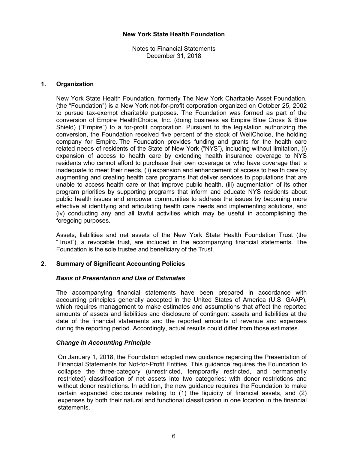Notes to Financial Statements December 31, 2018

#### **1. Organization**

New York State Health Foundation, formerly The New York Charitable Asset Foundation, (the "Foundation") is a New York not-for-profit corporation organized on October 25, 2002 to pursue tax-exempt charitable purposes. The Foundation was formed as part of the conversion of Empire HealthChoice, Inc. (doing business as Empire Blue Cross & Blue Shield) ("Empire") to a for-profit corporation. Pursuant to the legislation authorizing the conversion, the Foundation received five percent of the stock of WellChoice, the holding company for Empire. The Foundation provides funding and grants for the health care related needs of residents of the State of New York ("NYS"), including without limitation, (i) expansion of access to health care by extending health insurance coverage to NYS residents who cannot afford to purchase their own coverage or who have coverage that is inadequate to meet their needs, (ii) expansion and enhancement of access to health care by augmenting and creating health care programs that deliver services to populations that are unable to access health care or that improve public health, (iii) augmentation of its other program priorities by supporting programs that inform and educate NYS residents about public health issues and empower communities to address the issues by becoming more effective at identifying and articulating health care needs and implementing solutions, and (iv) conducting any and all lawful activities which may be useful in accomplishing the foregoing purposes.

Assets, liabilities and net assets of the New York State Health Foundation Trust (the "Trust"), a revocable trust, are included in the accompanying financial statements. The Foundation is the sole trustee and beneficiary of the Trust.

# **2. Summary of Significant Accounting Policies**

#### *Basis of Presentation and Use of Estimates*

The accompanying financial statements have been prepared in accordance with accounting principles generally accepted in the United States of America (U.S. GAAP), which requires management to make estimates and assumptions that affect the reported amounts of assets and liabilities and disclosure of contingent assets and liabilities at the date of the financial statements and the reported amounts of revenue and expenses during the reporting period. Accordingly, actual results could differ from those estimates.

#### *Change in Accounting Principle*

On January 1, 2018, the Foundation adopted new guidance regarding the Presentation of Financial Statements for Not-for-Profit Entities. This guidance requires the Foundation to collapse the three-category (unrestricted, temporarily restricted, and permanently restricted) classification of net assets into two categories: with donor restrictions and without donor restrictions. In addition, the new guidance requires the Foundation to make certain expanded disclosures relating to (1) the liquidity of financial assets, and (2) expenses by both their natural and functional classification in one location in the financial statements.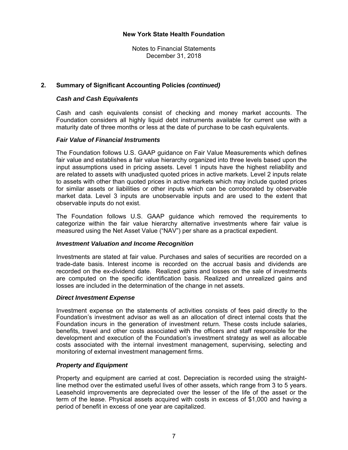Notes to Financial Statements December 31, 2018

# **2. Summary of Significant Accounting Policies** *(continued)*

### *Cash and Cash Equivalents*

Cash and cash equivalents consist of checking and money market accounts. The Foundation considers all highly liquid debt instruments available for current use with a maturity date of three months or less at the date of purchase to be cash equivalents.

#### *Fair Value of Financial Instruments*

The Foundation follows U.S. GAAP guidance on Fair Value Measurements which defines fair value and establishes a fair value hierarchy organized into three levels based upon the input assumptions used in pricing assets. Level 1 inputs have the highest reliability and are related to assets with unadjusted quoted prices in active markets. Level 2 inputs relate to assets with other than quoted prices in active markets which may include quoted prices for similar assets or liabilities or other inputs which can be corroborated by observable market data. Level 3 inputs are unobservable inputs and are used to the extent that observable inputs do not exist.

The Foundation follows U.S. GAAP guidance which removed the requirements to categorize within the fair value hierarchy alternative investments where fair value is measured using the Net Asset Value ("NAV") per share as a practical expedient.

#### *Investment Valuation and Income Recognition*

Investments are stated at fair value. Purchases and sales of securities are recorded on a trade-date basis. Interest income is recorded on the accrual basis and dividends are recorded on the ex-dividend date. Realized gains and losses on the sale of investments are computed on the specific identification basis. Realized and unrealized gains and losses are included in the determination of the change in net assets.

#### *Direct Investment Expense*

Investment expense on the statements of activities consists of fees paid directly to the Foundation's investment advisor as well as an allocation of direct internal costs that the Foundation incurs in the generation of investment return. These costs include salaries, benefits, travel and other costs associated with the officers and staff responsible for the development and execution of the Foundation's investment strategy as well as allocable costs associated with the internal investment management, supervising, selecting and monitoring of external investment management firms.

#### *Property and Equipment*

Property and equipment are carried at cost. Depreciation is recorded using the straightline method over the estimated useful lives of other assets, which range from 3 to 5 years. Leasehold improvements are depreciated over the lesser of the life of the asset or the term of the lease. Physical assets acquired with costs in excess of \$1,000 and having a period of benefit in excess of one year are capitalized.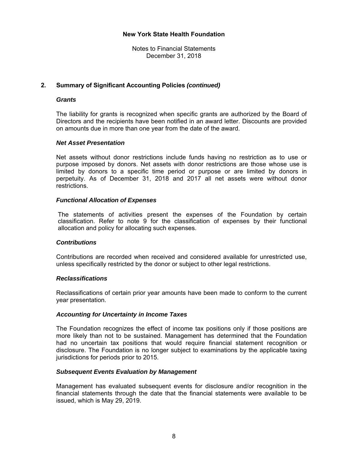Notes to Financial Statements December 31, 2018

# **2. Summary of Significant Accounting Policies** *(continued)*

#### *Grants*

The liability for grants is recognized when specific grants are authorized by the Board of Directors and the recipients have been notified in an award letter. Discounts are provided on amounts due in more than one year from the date of the award.

# *Net Asset Presentation*

Net assets without donor restrictions include funds having no restriction as to use or purpose imposed by donors. Net assets with donor restrictions are those whose use is limited by donors to a specific time period or purpose or are limited by donors in perpetuity. As of December 31, 2018 and 2017 all net assets were without donor restrictions.

#### *Functional Allocation of Expenses*

The statements of activities present the expenses of the Foundation by certain classification. Refer to note 9 for the classification of expenses by their functional allocation and policy for allocating such expenses.

#### *Contributions*

Contributions are recorded when received and considered available for unrestricted use, unless specifically restricted by the donor or subject to other legal restrictions.

#### *Reclassifications*

Reclassifications of certain prior year amounts have been made to conform to the current year presentation.

#### *Accounting for Uncertainty in Income Taxes*

The Foundation recognizes the effect of income tax positions only if those positions are more likely than not to be sustained. Management has determined that the Foundation had no uncertain tax positions that would require financial statement recognition or disclosure. The Foundation is no longer subject to examinations by the applicable taxing jurisdictions for periods prior to 2015.

# *Subsequent Events Evaluation by Management*

Management has evaluated subsequent events for disclosure and/or recognition in the financial statements through the date that the financial statements were available to be issued, which is May 29, 2019.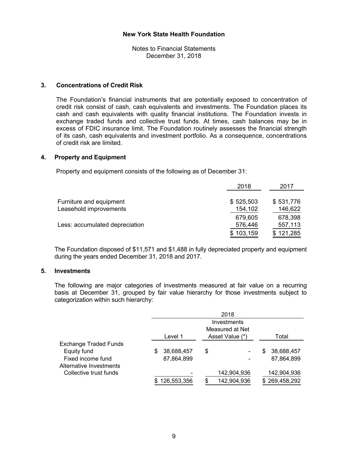Notes to Financial Statements December 31, 2018

### **3. Concentrations of Credit Risk**

The Foundation's financial instruments that are potentially exposed to concentration of credit risk consist of cash, cash equivalents and investments. The Foundation places its cash and cash equivalents with quality financial institutions. The Foundation invests in exchange traded funds and collective trust funds. At times, cash balances may be in excess of FDIC insurance limit. The Foundation routinely assesses the financial strength of its cash, cash equivalents and investment portfolio. As a consequence, concentrations of credit risk are limited.

#### **4. Property and Equipment**

Property and equipment consists of the following as of December 31:

|                                | 2018      | 2017      |
|--------------------------------|-----------|-----------|
| Furniture and equipment        | \$525,503 | \$531,776 |
| Leasehold improvements         | 154,102   | 146,622   |
|                                | 679,605   | 678,398   |
| Less: accumulated depreciation | 576,446   | 557,113   |
|                                | 103,159   | \$121,285 |

 The Foundation disposed of \$11,571 and \$1,488 in fully depreciated property and equipment during the years ended December 31, 2018 and 2017.

# **5. Investments**

The following are major categories of investments measured at fair value on a recurring basis at December 31, grouped by fair value hierarchy for those investments subject to categorization within such hierarchy:

|                              |                 | 2018            |                 |
|------------------------------|-----------------|-----------------|-----------------|
|                              |                 | Investments     |                 |
|                              |                 | Measured at Net |                 |
|                              | Level 1         | Asset Value (*) | Total           |
| <b>Exchange Traded Funds</b> |                 |                 |                 |
| Equity fund                  | 38,688,457<br>S | \$              | 38,688,457<br>S |
| Fixed income fund            | 87,864,899      |                 | 87,864,899      |
| Alternative Investments      |                 |                 |                 |
| Collective trust funds       |                 | 142,904,936     | 142,904,936     |
|                              | 126,553,356     | 142,904,936     | 269,458,292     |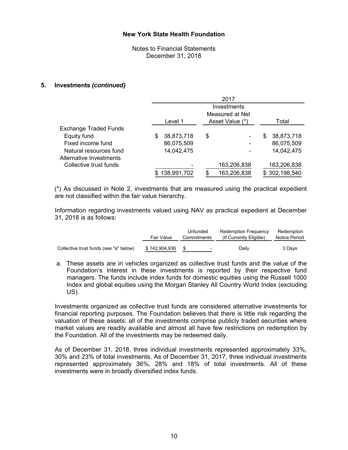Notes to Financial Statements December 31, 2018

#### **5. Investments** *(continued)*

|                              | 2017            |                                |                  |  |  |
|------------------------------|-----------------|--------------------------------|------------------|--|--|
|                              |                 | Investments<br>Measured at Net |                  |  |  |
|                              | Level 1         | Asset Value (*)                | Total            |  |  |
| <b>Exchange Traded Funds</b> |                 |                                |                  |  |  |
| Equity fund                  | 38,873,718<br>S | \$                             | 38,873,718<br>\$ |  |  |
| Fixed income fund            | 86,075,509      |                                | 86,075,509       |  |  |
| Natural resources fund       | 14,042,475      |                                | 14,042,475       |  |  |
| Alternative Investments      |                 |                                |                  |  |  |
| Collective trust funds       |                 | 163,206,838                    | 163,206,838      |  |  |
|                              | 138,991,702     | 163,206,838                    | \$302,198,540    |  |  |

 (\*) As discussed in Note 2, investments that are measured using the practical expedient are not classified within the fair value hierarchy.

 Information regarding investments valued using NAV as practical expedient at December 31, 2018 is as follows:

|                                        | Fair Value    | Unfunded<br>Commitments  | <b>Redemption Frequency</b><br>(If Currently Eligible) | Redemption<br>Notice Period |
|----------------------------------------|---------------|--------------------------|--------------------------------------------------------|-----------------------------|
| Collective trust funds (see "a" below) | \$142,904,936 | $\overline{\phantom{0}}$ | Daily                                                  | 3 Davs                      |

a. These assets are in vehicles organized as collective trust funds and the value of the Foundation's interest in these investments is reported by their respective fund managers. The funds include index funds for domestic equities using the Russell 1000 Index and global equities using the Morgan Stanley All Country World Index (excluding US).

Investments organized as collective trust funds are considered alternative investments for financial reporting purposes. The Foundation believes that there is little risk regarding the valuation of these assets: all of the investments comprise publicly traded securities where market values are readily available and almost all have few restrictions on redemption by the Foundation. All of the investments may be redeemed daily.

As of December 31, 2018, three individual investments represented approximately 33%, 30% and 23% of total investments. As of December 31, 2017, three individual investments represented approximately 36%, 28% and 18% of total investments. All of these investments were in broadly diversified index funds.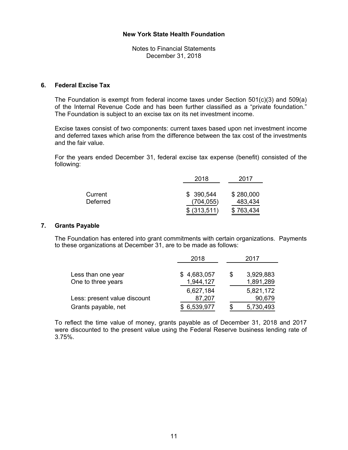Notes to Financial Statements December 31, 2018

#### **6. Federal Excise Tax**

 The Foundation is exempt from federal income taxes under Section 501(c)(3) and 509(a) of the Internal Revenue Code and has been further classified as a "private foundation." The Foundation is subject to an excise tax on its net investment income.

 Excise taxes consist of two components: current taxes based upon net investment income and deferred taxes which arise from the difference between the tax cost of the investments and the fair value.

 For the years ended December 31, federal excise tax expense (benefit) consisted of the following:

|                 | 2018         | 2017      |
|-----------------|--------------|-----------|
|                 |              |           |
| Current         | \$ 390,544   | \$280,000 |
| <b>Deferred</b> | (704, 055)   | 483,434   |
|                 | \$ (313,511) | \$763,434 |

#### **7. Grants Payable**

 The Foundation has entered into grant commitments with certain organizations. Payments to these organizations at December 31, are to be made as follows:

|                              | 2018        | 2017            |
|------------------------------|-------------|-----------------|
| Less than one year           | \$4,683,057 | \$<br>3,929,883 |
| One to three years           | 1,944,127   | 1,891,289       |
|                              | 6,627,184   | 5,821,172       |
| Less: present value discount | 87,207      | 90,679          |
| Grants payable, net          | \$6,539,977 | 5,730,493       |

 To reflect the time value of money, grants payable as of December 31, 2018 and 2017 were discounted to the present value using the Federal Reserve business lending rate of 3.75%.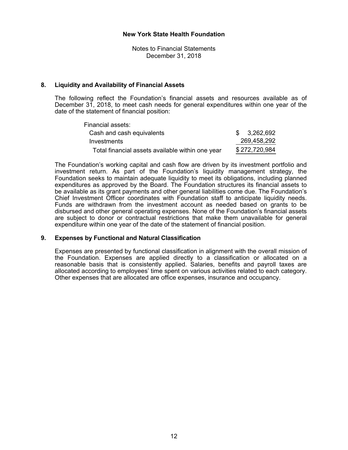Notes to Financial Statements December 31, 2018

# **8. Liquidity and Availability of Financial Assets**

The following reflect the Foundation's financial assets and resources available as of December 31, 2018, to meet cash needs for general expenditures within one year of the date of the statement of financial position:

| Financial assets:                                |               |
|--------------------------------------------------|---------------|
| Cash and cash equivalents                        | \$3,262,692   |
| Investments                                      | 269,458,292   |
| Total financial assets available within one year | \$272,720,984 |

The Foundation's working capital and cash flow are driven by its investment portfolio and investment return. As part of the Foundation's liquidity management strategy, the Foundation seeks to maintain adequate liquidity to meet its obligations, including planned expenditures as approved by the Board. The Foundation structures its financial assets to be available as its grant payments and other general liabilities come due. The Foundation's Chief Investment Officer coordinates with Foundation staff to anticipate liquidity needs. Funds are withdrawn from the investment account as needed based on grants to be disbursed and other general operating expenses. None of the Foundation's financial assets are subject to donor or contractual restrictions that make them unavailable for general expenditure within one year of the date of the statement of financial position.

#### **9. Expenses by Functional and Natural Classification**

Expenses are presented by functional classification in alignment with the overall mission of the Foundation. Expenses are applied directly to a classification or allocated on a reasonable basis that is consistently applied. Salaries, benefits and payroll taxes are allocated according to employees' time spent on various activities related to each category. Other expenses that are allocated are office expenses, insurance and occupancy.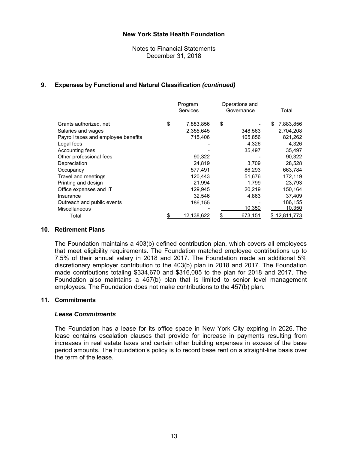Notes to Financial Statements December 31, 2018

# **9. Expenses by Functional and Natural Classification** *(continued)*

|                                     | Program         | Operations and |                 |
|-------------------------------------|-----------------|----------------|-----------------|
|                                     | <b>Services</b> | Governance     | Total           |
| Grants authorized, net              | \$<br>7,883,856 | \$             | \$<br>7,883,856 |
| Salaries and wages                  | 2,355,645       | 348,563        | 2,704,208       |
| Payroll taxes and employee benefits | 715.406         | 105,856        | 821,262         |
| Legal fees                          |                 | 4.326          | 4,326           |
| Accounting fees                     |                 | 35,497         | 35,497          |
| Other professional fees             | 90,322          |                | 90,322          |
| Depreciation                        | 24.819          | 3.709          | 28,528          |
| Occupancy                           | 577,491         | 86,293         | 663,784         |
| Travel and meetings                 | 120,443         | 51,676         | 172,119         |
| Printing and design                 | 21,994          | 1,799          | 23,793          |
| Office expenses and IT              | 129.945         | 20,219         | 150.164         |
| Insurance                           | 32,546          | 4,863          | 37,409          |
| Outreach and public events          | 186,155         |                | 186,155         |
| <b>Miscellaneous</b>                |                 | 10,350         | 10,350          |
| Total                               | 12,138,622      | 673,151        | \$12,811,773    |

#### **10. Retirement Plans**

 The Foundation maintains a 403(b) defined contribution plan, which covers all employees that meet eligibility requirements. The Foundation matched employee contributions up to 7.5% of their annual salary in 2018 and 2017. The Foundation made an additional 5% discretionary employer contribution to the 403(b) plan in 2018 and 2017. The Foundation made contributions totaling \$334,670 and \$316,085 to the plan for 2018 and 2017. The Foundation also maintains a 457(b) plan that is limited to senior level management employees. The Foundation does not make contributions to the 457(b) plan.

#### **11. Commitments**

#### *Lease Commitments*

The Foundation has a lease for its office space in New York City expiring in 2026. The lease contains escalation clauses that provide for increase in payments resulting from increases in real estate taxes and certain other building expenses in excess of the base period amounts. The Foundation's policy is to record base rent on a straight-line basis over the term of the lease.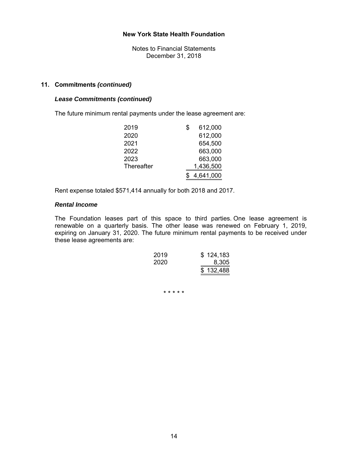Notes to Financial Statements December 31, 2018

# **11. Commitments** *(continued)*

# *Lease Commitments (continued)*

The future minimum rental payments under the lease agreement are:

| 2019              | S | 612,000   |
|-------------------|---|-----------|
| 2020              |   | 612,000   |
| 2021              |   | 654,500   |
| 2022              |   | 663,000   |
| 2023              |   | 663,000   |
| <b>Thereafter</b> |   | 1,436,500 |
|                   |   | 4,641,000 |

Rent expense totaled \$571,414 annually for both 2018 and 2017.

### *Rental Income*

The Foundation leases part of this space to third parties. One lease agreement is renewable on a quarterly basis. The other lease was renewed on February 1, 2019, expiring on January 31, 2020. The future minimum rental payments to be received under these lease agreements are:

| 2019 | \$124,183 |
|------|-----------|
| 2020 | 8,305     |
|      | \$132,488 |

\* \* \* \* \*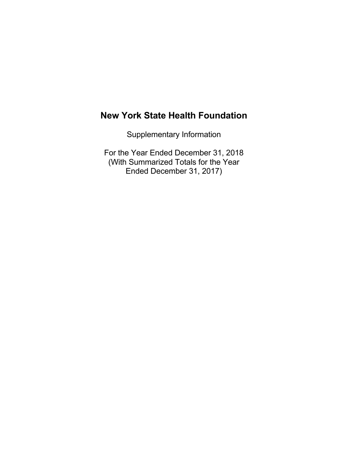Supplementary Information

For the Year Ended December 31, 2018 (With Summarized Totals for the Year Ended December 31, 2017)